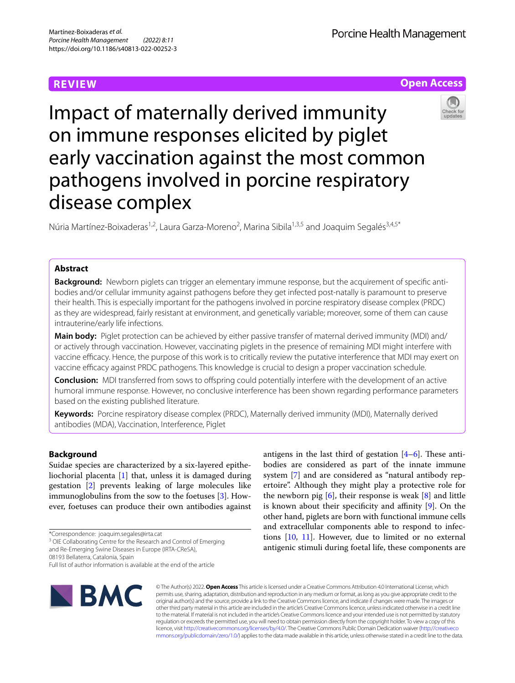# **REVIEW**

Porcine Health Management



Impact of maternally derived immunity on immune responses elicited by piglet early vaccination against the most common pathogens involved in porcine respiratory disease complex

Núria Martínez-Boixaderas<sup>1,2</sup>, Laura Garza-Moreno<sup>2</sup>, Marina Sibila<sup>1,3,5</sup> and Joaquim Segalés<sup>3,4,5\*</sup>

# **Abstract**

**Background:** Newborn piglets can trigger an elementary immune response, but the acquirement of specific antibodies and/or cellular immunity against pathogens before they get infected post-natally is paramount to preserve their health. This is especially important for the pathogens involved in porcine respiratory disease complex (PRDC) as they are widespread, fairly resistant at environment, and genetically variable; moreover, some of them can cause intrauterine/early life infections.

**Main body:** Piglet protection can be achieved by either passive transfer of maternal derived immunity (MDI) and/ or actively through vaccination. However, vaccinating piglets in the presence of remaining MDI might interfere with vaccine efficacy. Hence, the purpose of this work is to critically review the putative interference that MDI may exert on vaccine efficacy against PRDC pathogens. This knowledge is crucial to design a proper vaccination schedule.

**Conclusion:** MDI transferred from sows to offspring could potentially interfere with the development of an active humoral immune response. However, no conclusive interference has been shown regarding performance parameters based on the existing published literature.

**Keywords:** Porcine respiratory disease complex (PRDC), Maternally derived immunity (MDI), Maternally derived antibodies (MDA), Vaccination, Interference, Piglet

# **Background**

Suidae species are characterized by a six-layered epitheliochorial placenta [\[1](#page-7-0)] that, unless it is damaged during gestation [\[2](#page-7-1)] prevents leaking of large molecules like immunoglobulins from the sow to the foetuses [\[3](#page-7-2)]. However, foetuses can produce their own antibodies against

\*Correspondence: joaquim.segales@irta.cat

<sup>3</sup> OIE Collaborating Centre for the Research and Control of Emerging

and Re-Emerging Swine Diseases in Europe (IRTA-CReSA),

08193 Bellaterra, Catalonia, Spain

Full list of author information is available at the end of the article



antigens in the last third of gestation  $[4-6]$  $[4-6]$ . These antibodies are considered as part of the innate immune system [\[7](#page-7-5)] and are considered as "natural antibody repertoire". Although they might play a protective role for the newborn pig  $[6]$  $[6]$ , their response is weak  $[8]$  $[8]$  and little is known about their specificity and affinity  $[9]$  $[9]$ . On the other hand, piglets are born with functional immune cells and extracellular components able to respond to infections [[10](#page-7-8), [11\]](#page-7-9). However, due to limited or no external antigenic stimuli during foetal life, these components are

© The Author(s) 2022. **Open Access** This article is licensed under a Creative Commons Attribution 4.0 International License, which permits use, sharing, adaptation, distribution and reproduction in any medium or format, as long as you give appropriate credit to the original author(s) and the source, provide a link to the Creative Commons licence, and indicate if changes were made. The images or other third party material in this article are included in the article's Creative Commons licence, unless indicated otherwise in a credit line to the material. If material is not included in the article's Creative Commons licence and your intended use is not permitted by statutory regulation or exceeds the permitted use, you will need to obtain permission directly from the copyright holder. To view a copy of this licence, visit [http://creativecommons.org/licenses/by/4.0/.](http://creativecommons.org/licenses/by/4.0/) The Creative Commons Public Domain Dedication waiver ([http://creativeco](http://creativecommons.org/publicdomain/zero/1.0/) [mmons.org/publicdomain/zero/1.0/](http://creativecommons.org/publicdomain/zero/1.0/)) applies to the data made available in this article, unless otherwise stated in a credit line to the data.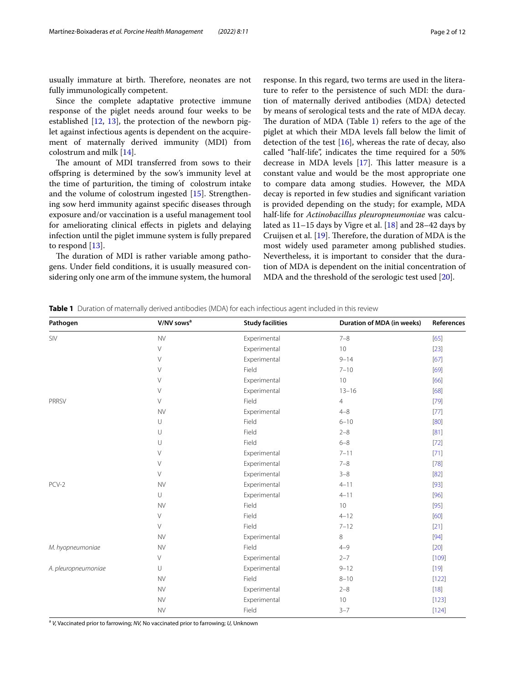usually immature at birth. Therefore, neonates are not fully immunologically competent.

Since the complete adaptative protective immune response of the piglet needs around four weeks to be established  $[12, 13]$  $[12, 13]$  $[12, 13]$  $[12, 13]$  $[12, 13]$ , the protection of the newborn piglet against infectious agents is dependent on the acquirement of maternally derived immunity (MDI) from colostrum and milk [\[14\]](#page-7-12).

The amount of MDI transferred from sows to their ofspring is determined by the sow's immunity level at the time of parturition, the timing of colostrum intake and the volume of colostrum ingested [\[15\]](#page-7-13). Strengthening sow herd immunity against specifc diseases through exposure and/or vaccination is a useful management tool for ameliorating clinical efects in piglets and delaying infection until the piglet immune system is fully prepared to respond [\[13\]](#page-7-11).

The duration of MDI is rather variable among pathogens. Under feld conditions, it is usually measured considering only one arm of the immune system, the humoral response. In this regard, two terms are used in the literature to refer to the persistence of such MDI: the duration of maternally derived antibodies (MDA) detected by means of serological tests and the rate of MDA decay. The duration of MDA (Table  $1$ ) refers to the age of the piglet at which their MDA levels fall below the limit of detection of the test  $[16]$  $[16]$ , whereas the rate of decay, also called "half-life", indicates the time required for a 50% decrease in MDA levels  $[17]$  $[17]$ . This latter measure is a constant value and would be the most appropriate one to compare data among studies. However, the MDA decay is reported in few studies and signifcant variation is provided depending on the study; for example, MDA half-life for *Actinobacillus pleuropneumoniae* was calculated as 11–15 days by Vigre et al. [[18](#page-7-16)] and 28–42 days by Cruijsen et al.  $[19]$  $[19]$ . Therefore, the duration of MDA is the most widely used parameter among published studies. Nevertheless, it is important to consider that the duration of MDA is dependent on the initial concentration of MDA and the threshold of the serologic test used [[20\]](#page-7-18).

| Pathogen            | V/NV sows <sup>a</sup> | <b>Study facilities</b> | Duration of MDA (in weeks)                                                                                                                                                                                                                             | References |
|---------------------|------------------------|-------------------------|--------------------------------------------------------------------------------------------------------------------------------------------------------------------------------------------------------------------------------------------------------|------------|
| SIV                 | <b>NV</b>              | Experimental            | $7 - 8$<br>10<br>$9 - 14$<br>$7 - 10$<br>10<br>$13 - 16$<br>$\overline{4}$<br>$4 - 8$<br>$6 - 10$<br>$2 - 8$<br>$6 - 8$<br>$7 - 11$<br>$7 - 8$<br>$3 - 8$<br>$4 - 11$<br>$4 - 11$<br>10<br>$4 - 12$<br>$7 - 12$<br>8<br>$4 - 9$<br>$2 - 7$<br>$9 - 12$ | [65]       |
|                     | V                      | Experimental            |                                                                                                                                                                                                                                                        | $[23]$     |
|                     | $\vee$                 | Experimental            |                                                                                                                                                                                                                                                        | $[67]$     |
|                     | $\vee$                 | Field                   |                                                                                                                                                                                                                                                        | [69]       |
|                     | $\vee$                 | Experimental            |                                                                                                                                                                                                                                                        | [66]       |
|                     | V                      | Experimental            |                                                                                                                                                                                                                                                        | [68]       |
| PRRSV               | $\vee$                 | Field                   |                                                                                                                                                                                                                                                        | $[79]$     |
|                     | <b>NV</b>              | Experimental            |                                                                                                                                                                                                                                                        | $[77]$     |
|                     | $\cup$                 | Field                   |                                                                                                                                                                                                                                                        | [80]       |
|                     | $\cup$                 | Field                   |                                                                                                                                                                                                                                                        | $[81]$     |
|                     | $\cup$                 | Field                   |                                                                                                                                                                                                                                                        | $[72]$     |
|                     | $\vee$                 | Experimental            |                                                                                                                                                                                                                                                        | $[71]$     |
|                     | V                      | Experimental            |                                                                                                                                                                                                                                                        | $[78]$     |
|                     | $\vee$                 | Experimental            |                                                                                                                                                                                                                                                        | $[82]$     |
| PCV-2               | <b>NV</b>              | Experimental            |                                                                                                                                                                                                                                                        | $[93]$     |
|                     | U                      | Experimental            |                                                                                                                                                                                                                                                        | $[96]$     |
|                     | <b>NV</b>              | Field                   |                                                                                                                                                                                                                                                        | $[95]$     |
|                     | $\vee$                 | Field                   |                                                                                                                                                                                                                                                        | [60]       |
|                     | $\vee$                 | Field                   |                                                                                                                                                                                                                                                        | $[21]$     |
|                     | ${\sf NV}$             | Experimental            |                                                                                                                                                                                                                                                        | $[94]$     |
| M. hyopneumoniae    | <b>NV</b>              | Field                   |                                                                                                                                                                                                                                                        | $[20]$     |
|                     | $\vee$                 | Experimental            |                                                                                                                                                                                                                                                        | $[109]$    |
| A. pleuropneumoniae | $\cup$                 | Experimental            |                                                                                                                                                                                                                                                        | $[19]$     |
|                     | <b>NV</b>              | Field                   | $8 - 10$                                                                                                                                                                                                                                               | $[122]$    |
|                     | <b>NV</b>              | Experimental            | $2 - 8$                                                                                                                                                                                                                                                | $[18]$     |
|                     | ${\sf NV}$             | Experimental            | 10                                                                                                                                                                                                                                                     | $[123]$    |
|                     | <b>NV</b>              | Field                   | $3 - 7$                                                                                                                                                                                                                                                | $[124]$    |

<span id="page-1-0"></span>**Table 1** Duration of maternally derived antibodies (MDA) for each infectious agent included in this review

<sup>a</sup> *V,* Vaccinated prior to farrowing; *NV,* No vaccinated prior to farrowing; *U,* Unknown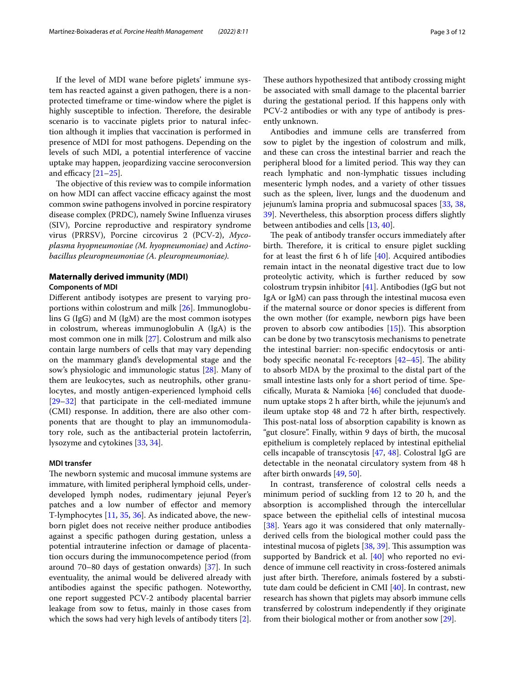If the level of MDI wane before piglets' immune system has reacted against a given pathogen, there is a nonprotected timeframe or time-window where the piglet is highly susceptible to infection. Therefore, the desirable scenario is to vaccinate piglets prior to natural infection although it implies that vaccination is performed in presence of MDI for most pathogens. Depending on the levels of such MDI, a potential interference of vaccine uptake may happen, jeopardizing vaccine seroconversion and efficacy  $[21-25]$  $[21-25]$ .

The objective of this review was to compile information on how MDI can affect vaccine efficacy against the most common swine pathogens involved in porcine respiratory disease complex (PRDC), namely Swine Infuenza viruses (SIV), Porcine reproductive and respiratory syndrome virus (PRRSV), Porcine circovirus 2 (PCV-2), *Mycoplasma hyopneumoniae (M. hyopneumoniae)* and *Actinobacillus pleuropneumoniae (A. pleuropneumoniae)*.

# **Maternally derived immunity (MDI) Components of MDI**

Diferent antibody isotypes are present to varying proportions within colostrum and milk [\[26](#page-8-2)]. Immunoglobulins G (IgG) and M (IgM) are the most common isotypes in colostrum, whereas immunoglobulin A (IgA) is the most common one in milk [\[27](#page-8-3)]. Colostrum and milk also contain large numbers of cells that may vary depending on the mammary gland's developmental stage and the sow's physiologic and immunologic status [\[28](#page-8-4)]. Many of them are leukocytes, such as neutrophils, other granulocytes, and mostly antigen-experienced lymphoid cells [[29–](#page-8-5)[32](#page-8-6)] that participate in the cell-mediated immune (CMI) response. In addition, there are also other components that are thought to play an immunomodulatory role, such as the antibacterial protein lactoferrin, lysozyme and cytokines [[33,](#page-8-7) [34](#page-8-8)].

### **MDI transfer**

The newborn systemic and mucosal immune systems are immature, with limited peripheral lymphoid cells, underdeveloped lymph nodes, rudimentary jejunal Peyer's patches and a low number of efector and memory T-lymphocytes [\[11](#page-7-9), [35,](#page-8-9) [36](#page-8-10)]. As indicated above, the newborn piglet does not receive neither produce antibodies against a specifc pathogen during gestation, unless a potential intrauterine infection or damage of placentation occurs during the immunocompetence period (from around 70–80 days of gestation onwards) [[37\]](#page-8-11). In such eventuality, the animal would be delivered already with antibodies against the specifc pathogen. Noteworthy, one report suggested PCV-2 antibody placental barrier leakage from sow to fetus, mainly in those cases from which the sows had very high levels of antibody titers [\[2](#page-7-1)]. These authors hypothesized that antibody crossing might be associated with small damage to the placental barrier during the gestational period. If this happens only with PCV-2 antibodies or with any type of antibody is presently unknown.

Antibodies and immune cells are transferred from sow to piglet by the ingestion of colostrum and milk, and these can cross the intestinal barrier and reach the peripheral blood for a limited period. This way they can reach lymphatic and non-lymphatic tissues including mesenteric lymph nodes, and a variety of other tissues such as the spleen, liver, lungs and the duodenum and jejunum's lamina propria and submucosal spaces [[33](#page-8-7), [38](#page-8-12), [39\]](#page-8-13). Nevertheless, this absorption process difers slightly between antibodies and cells [\[13,](#page-7-11) [40](#page-8-14)].

The peak of antibody transfer occurs immediately after birth. Therefore, it is critical to ensure piglet suckling for at least the first 6 h of life  $[40]$  $[40]$ . Acquired antibodies remain intact in the neonatal digestive tract due to low proteolytic activity, which is further reduced by sow colostrum trypsin inhibitor [\[41](#page-8-15)]. Antibodies (IgG but not IgA or IgM) can pass through the intestinal mucosa even if the maternal source or donor species is diferent from the own mother (for example, newborn pigs have been proven to absorb cow antibodies  $[15]$  $[15]$ ). This absorption can be done by two transcytosis mechanisms to penetrate the intestinal barrier: non-specifc endocytosis or antibody specific neonatal Fc-receptors  $[42-45]$  $[42-45]$  $[42-45]$ . The ability to absorb MDA by the proximal to the distal part of the small intestine lasts only for a short period of time. Specifcally, Murata & Namioka [\[46](#page-8-18)] concluded that duodenum uptake stops 2 h after birth, while the jejunum's and ileum uptake stop 48 and 72 h after birth, respectively. This post-natal loss of absorption capability is known as "gut closure". Finally, within 9 days of birth, the mucosal epithelium is completely replaced by intestinal epithelial cells incapable of transcytosis [[47](#page-8-19), [48\]](#page-8-20). Colostral IgG are detectable in the neonatal circulatory system from 48 h after birth onwards [[49,](#page-8-21) [50](#page-8-22)].

In contrast, transference of colostral cells needs a minimum period of suckling from 12 to 20 h, and the absorption is accomplished through the intercellular space between the epithelial cells of intestinal mucosa [[38\]](#page-8-12). Years ago it was considered that only maternallyderived cells from the biological mother could pass the intestinal mucosa of piglets  $[38, 39]$  $[38, 39]$  $[38, 39]$  $[38, 39]$ . This assumption was supported by Bandrick et al. [[40\]](#page-8-14) who reported no evidence of immune cell reactivity in cross-fostered animals just after birth. Therefore, animals fostered by a substi-tute dam could be deficient in CMI [\[40](#page-8-14)]. In contrast, new research has shown that piglets may absorb immune cells transferred by colostrum independently if they originate from their biological mother or from another sow [\[29](#page-8-5)].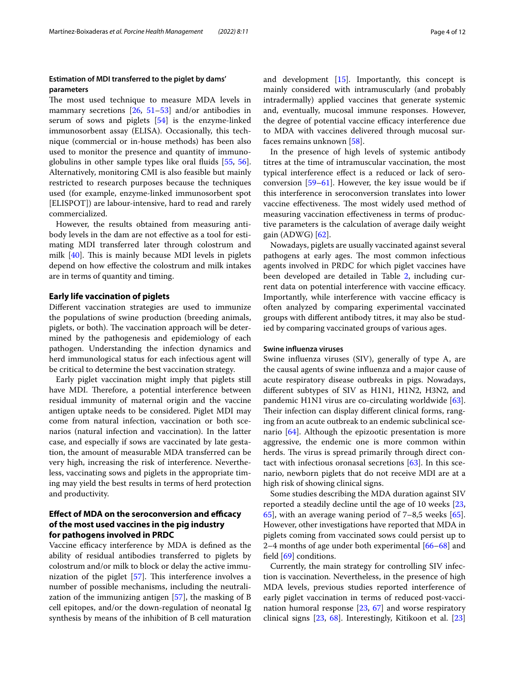# **Estimation of MDI transferred to the piglet by dams' parameters**

The most used technique to measure MDA levels in mammary secretions [[26,](#page-8-2) [51](#page-8-23)[–53](#page-8-24)] and/or antibodies in serum of sows and piglets [[54\]](#page-8-25) is the enzyme-linked immunosorbent assay (ELISA). Occasionally, this technique (commercial or in-house methods) has been also used to monitor the presence and quantity of immunoglobulins in other sample types like oral fuids [[55](#page-8-26), [56](#page-8-27)]. Alternatively, monitoring CMI is also feasible but mainly restricted to research purposes because the techniques used (for example, enzyme-linked immunosorbent spot [ELISPOT]) are labour-intensive, hard to read and rarely commercialized.

However, the results obtained from measuring antibody levels in the dam are not efective as a tool for estimating MDI transferred later through colostrum and milk  $[40]$  $[40]$ . This is mainly because MDI levels in piglets depend on how efective the colostrum and milk intakes are in terms of quantity and timing.

### **Early life vaccination of piglets**

Diferent vaccination strategies are used to immunize the populations of swine production (breeding animals, piglets, or both). The vaccination approach will be determined by the pathogenesis and epidemiology of each pathogen. Understanding the infection dynamics and herd immunological status for each infectious agent will be critical to determine the best vaccination strategy.

Early piglet vaccination might imply that piglets still have MDI. Therefore, a potential interference between residual immunity of maternal origin and the vaccine antigen uptake needs to be considered. Piglet MDI may come from natural infection, vaccination or both scenarios (natural infection and vaccination). In the latter case, and especially if sows are vaccinated by late gestation, the amount of measurable MDA transferred can be very high, increasing the risk of interference. Nevertheless, vaccinating sows and piglets in the appropriate timing may yield the best results in terms of herd protection and productivity.

# **Effect of MDA on the seroconversion and efficacy of the most used vaccines in the pig industry for pathogens involved in PRDC**

Vaccine efficacy interference by MDA is defined as the ability of residual antibodies transferred to piglets by colostrum and/or milk to block or delay the active immunization of the piglet  $[57]$  $[57]$ . This interference involves a number of possible mechanisms, including the neutralization of the immunizing antigen [[57\]](#page-8-28), the masking of B cell epitopes, and/or the down-regulation of neonatal Ig synthesis by means of the inhibition of B cell maturation and development [\[15](#page-7-13)]. Importantly, this concept is mainly considered with intramuscularly (and probably intradermally) applied vaccines that generate systemic and, eventually, mucosal immune responses. However, the degree of potential vaccine efficacy interference due to MDA with vaccines delivered through mucosal surfaces remains unknown [[58](#page-9-14)].

In the presence of high levels of systemic antibody titres at the time of intramuscular vaccination, the most typical interference efect is a reduced or lack of seroconversion [\[59](#page-9-15)–[61\]](#page-9-16). However, the key issue would be if this interference in seroconversion translates into lower vaccine effectiveness. The most widely used method of measuring vaccination efectiveness in terms of productive parameters is the calculation of average daily weight gain (ADWG) [[62\]](#page-9-17).

Nowadays, piglets are usually vaccinated against several pathogens at early ages. The most common infectious agents involved in PRDC for which piglet vaccines have been developed are detailed in Table [2](#page-4-0), including current data on potential interference with vaccine efficacy. Importantly, while interference with vaccine efficacy is often analyzed by comparing experimental vaccinated groups with diferent antibody titres, it may also be studied by comparing vaccinated groups of various ages.

# **Swine infuenza viruses**

Swine infuenza viruses (SIV), generally of type A, are the causal agents of swine infuenza and a major cause of acute respiratory disease outbreaks in pigs. Nowadays, diferent subtypes of SIV as H1N1, H1N2, H3N2, and pandemic H1N1 virus are co-circulating worldwide [\[63](#page-9-18)]. Their infection can display different clinical forms, ranging from an acute outbreak to an endemic subclinical scenario [\[64\]](#page-9-19). Although the epizootic presentation is more aggressive, the endemic one is more common within herds. The virus is spread primarily through direct contact with infectious oronasal secretions [[63\]](#page-9-18). In this scenario, newborn piglets that do not receive MDI are at a high risk of showing clinical signs.

Some studies describing the MDA duration against SIV reported a steadily decline until the age of 10 weeks [[23](#page-8-0), [65\]](#page-9-0), with an average waning period of 7–8,5 weeks [\[65](#page-9-0)]. However, other investigations have reported that MDA in piglets coming from vaccinated sows could persist up to 2–4 months of age under both experimental [[66–](#page-9-3)[68\]](#page-9-4) and feld [[69\]](#page-9-2) conditions.

Currently, the main strategy for controlling SIV infection is vaccination. Nevertheless, in the presence of high MDA levels, previous studies reported interference of early piglet vaccination in terms of reduced post-vaccination humoral response  $[23, 67]$  $[23, 67]$  $[23, 67]$  $[23, 67]$  and worse respiratory clinical signs [\[23](#page-8-0), [68](#page-9-4)]. Interestingly, Kitikoon et al. [[23](#page-8-0)]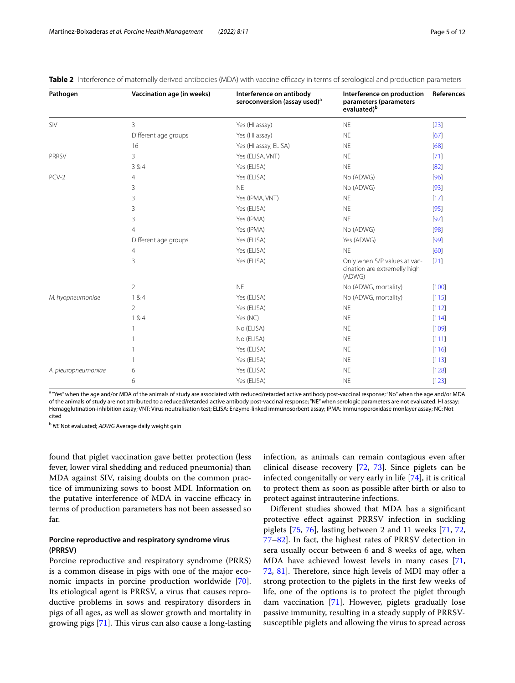| Pathogen            | Vaccination age (in weeks) | Interference on antibody<br>seroconversion (assay used) <sup>a</sup> | Interference on production<br>parameters (parameters<br>evaluated) <sup>b</sup> | References |
|---------------------|----------------------------|----------------------------------------------------------------------|---------------------------------------------------------------------------------|------------|
| SIV                 | 3                          | Yes (HI assay)                                                       | <b>NE</b>                                                                       | $[23]$     |
|                     | Different age groups       | Yes (HI assay)                                                       | <b>NE</b>                                                                       | [67]       |
|                     | 16                         | Yes (HI assay, ELISA)                                                | <b>NE</b>                                                                       | [68]       |
| <b>PRRSV</b>        | 3                          | Yes (ELISA, VNT)                                                     | <b>NE</b>                                                                       | $[71]$     |
|                     | 384                        | Yes (ELISA)                                                          | <b>NE</b>                                                                       | [82]       |
| PCV-2               | 4                          | Yes (ELISA)                                                          | No (ADWG)                                                                       | [96]       |
|                     | 3                          | <b>NE</b>                                                            | No (ADWG)                                                                       | $[93]$     |
|                     | 3                          | Yes (IPMA, VNT)                                                      | <b>NE</b>                                                                       | $[17]$     |
|                     | 3                          | Yes (ELISA)                                                          | <b>NE</b>                                                                       | $[95]$     |
|                     | 3                          | Yes (IPMA)                                                           | <b>NE</b>                                                                       | [97]       |
|                     | 4                          | Yes (IPMA)                                                           | No (ADWG)                                                                       | [98]       |
|                     | Different age groups       | Yes (ELISA)                                                          | Yes (ADWG)                                                                      | $[99]$     |
|                     | 4                          | Yes (ELISA)                                                          | <b>NE</b>                                                                       | [60]       |
|                     | 3                          | Yes (ELISA)                                                          | Only when S/P values at vac-<br>cination are extremelly high<br>(ADWG)          | [21]       |
|                     | $\overline{2}$             | <b>NE</b>                                                            | No (ADWG, mortality)                                                            | [100]      |
| M. hyopneumoniae    | 184                        | Yes (ELISA)                                                          | No (ADWG, mortality)                                                            | [115]      |
|                     | $\overline{2}$             | Yes (ELISA)                                                          | <b>NE</b>                                                                       | $[112]$    |
|                     | 184                        | Yes (NC)                                                             | <b>NE</b>                                                                       | $[114]$    |
|                     |                            | No (ELISA)                                                           | <b>NE</b>                                                                       | $[109]$    |
|                     |                            | No (ELISA)                                                           | <b>NE</b>                                                                       | [111]      |
|                     |                            | Yes (ELISA)                                                          | <b>NE</b>                                                                       | [116]      |
|                     |                            | Yes (ELISA)                                                          | <b>NE</b>                                                                       | $[113]$    |
| A. pleuropneumoniae | 6                          | Yes (ELISA)                                                          | <b>NE</b>                                                                       | [128]      |
|                     | 6                          | Yes (ELISA)                                                          | <b>NE</b>                                                                       | $[123]$    |

<span id="page-4-0"></span>**Table 2** Interference of maternally derived antibodies (MDA) with vaccine efficacy in terms of serological and production parameters

ar Yes" when the age and/or MDA of the animals of study are associated with reduced/retarded active antibody post-vaccinal response; "No" when the age and/or MDA of the animals of study are not attributed to a reduced/retarded active antibody post-vaccinal response; "NE" when serologic parameters are not evaluated. HI assay: Hemagglutination-inhibition assay; VNT: Virus neutralisation test; ELISA: Enzyme-linked immunosorbent assay; IPMA: Immunoperoxidase monlayer assay; NC: Not cited

<sup>b</sup> *NE* Not evaluated; *ADWG* Average daily weight gain

found that piglet vaccination gave better protection (less fever, lower viral shedding and reduced pneumonia) than MDA against SIV, raising doubts on the common practice of immunizing sows to boost MDI. Information on the putative interference of MDA in vaccine efficacy in terms of production parameters has not been assessed so far.

# **Porcine reproductive and respiratory syndrome virus (PRRSV)**

Porcine reproductive and respiratory syndrome (PRRS) is a common disease in pigs with one of the major economic impacts in porcine production worldwide [\[70](#page-9-20)]. Its etiological agent is PRRSV, a virus that causes reproductive problems in sows and respiratory disorders in pigs of all ages, as well as slower growth and mortality in growing pigs  $[71]$  $[71]$ . This virus can also cause a long-lasting infection, as animals can remain contagious even after clinical disease recovery [\[72](#page-9-9), [73\]](#page-9-21). Since piglets can be infected congenitally or very early in life [\[74\]](#page-9-22), it is critical to protect them as soon as possible after birth or also to protect against intrauterine infections.

Diferent studies showed that MDA has a signifcant protective efect against PRRSV infection in suckling piglets [\[75,](#page-9-23) [76](#page-9-24)], lasting between 2 and 11 weeks [\[71,](#page-9-10) [72](#page-9-9), [77](#page-9-6)[–82](#page-9-12)]. In fact, the highest rates of PRRSV detection in sera usually occur between 6 and 8 weeks of age, when MDA have achieved lowest levels in many cases [[71](#page-9-10), [72,](#page-9-9) [81](#page-9-8)]. Therefore, since high levels of MDI may offer a strong protection to the piglets in the frst few weeks of life, one of the options is to protect the piglet through dam vaccination [\[71](#page-9-10)]. However, piglets gradually lose passive immunity, resulting in a steady supply of PRRSVsusceptible piglets and allowing the virus to spread across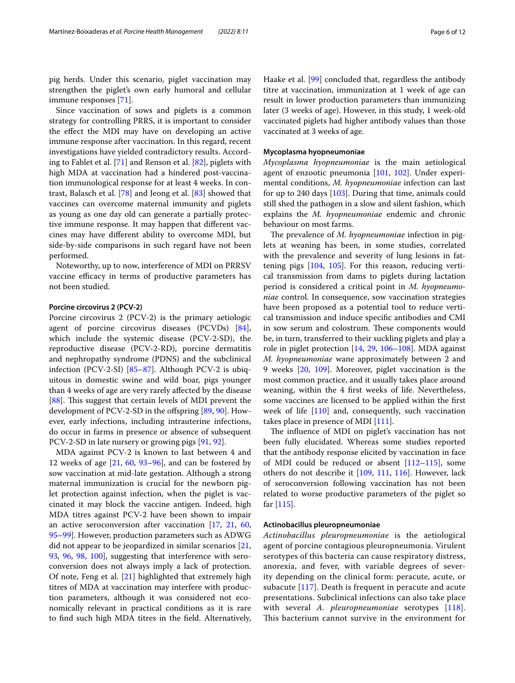pig herds. Under this scenario, piglet vaccination may strengthen the piglet's own early humoral and cellular immune responses [[71\]](#page-9-10).

Since vaccination of sows and piglets is a common strategy for controlling PRRS, it is important to consider the efect the MDI may have on developing an active immune response after vaccination. In this regard, recent investigations have yielded contradictory results. According to Fablet et al. [[71\]](#page-9-10) and Renson et al. [\[82](#page-9-12)], piglets with high MDA at vaccination had a hindered post-vaccination immunological response for at least 4 weeks. In contrast, Balasch et al. [\[78\]](#page-9-11) and Jeong et al. [[83\]](#page-9-25) showed that vaccines can overcome maternal immunity and piglets as young as one day old can generate a partially protective immune response. It may happen that diferent vaccines may have diferent ability to overcome MDI, but side-by-side comparisons in such regard have not been performed.

Noteworthy, up to now, interference of MDI on PRRSV vaccine efficacy in terms of productive parameters has not been studied.

### **Porcine circovirus 2 (PCV‑2)**

Porcine circovirus 2 (PCV-2) is the primary aetiologic agent of porcine circovirus diseases (PCVDs) [\[84](#page-9-26)], which include the systemic disease (PCV-2-SD), the reproductive disease (PCV-2-RD), porcine dermatitis and nephropathy syndrome (PDNS) and the subclinical infection (PCV-2-SI) [[85](#page-9-27)[–87](#page-9-28)]. Although PCV-2 is ubiquitous in domestic swine and wild boar, pigs younger than 4 weeks of age are very rarely afected by the disease [[88\]](#page-9-29). This suggest that certain levels of MDI prevent the development of PCV-2-SD in the ofspring [\[89](#page-9-30), [90\]](#page-9-31). However, early infections, including intrauterine infections, do occur in farms in presence or absence of subsequent PCV-2-SD in late nursery or growing pigs [\[91,](#page-9-32) [92](#page-10-18)].

MDA against PCV-2 is known to last between 4 and 12 weeks of age  $[21, 60, 93-96]$  $[21, 60, 93-96]$  $[21, 60, 93-96]$  $[21, 60, 93-96]$  $[21, 60, 93-96]$  $[21, 60, 93-96]$  $[21, 60, 93-96]$ , and can be fostered by sow vaccination at mid-late gestation. Although a strong maternal immunization is crucial for the newborn piglet protection against infection, when the piglet is vaccinated it may block the vaccine antigen. Indeed, high MDA titres against PCV-2 have been shown to impair an active seroconversion after vaccination [[17,](#page-7-15) [21,](#page-7-19) [60](#page-9-13), [95–](#page-10-2)[99](#page-10-10)]. However, production parameters such as ADWG did not appear to be jeopardized in similar scenarios [\[21](#page-7-19), [93,](#page-10-0) [96](#page-10-1), [98](#page-10-9), [100\]](#page-10-11), suggesting that interference with seroconversion does not always imply a lack of protection. Of note, Feng et al. [[21](#page-7-19)] highlighted that extremely high titres of MDA at vaccination may interfere with production parameters, although it was considered not economically relevant in practical conditions as it is rare to fnd such high MDA titres in the feld. Alternatively, Haake et al. [[99](#page-10-10)] concluded that, regardless the antibody titre at vaccination, immunization at 1 week of age can result in lower production parameters than immunizing later (3 weeks of age). However, in this study, 1 week-old vaccinated piglets had higher antibody values than those vaccinated at 3 weeks of age.

## **Mycoplasma hyopneumoniae**

*Mycoplasma hyopneumoniae* is the main aetiological agent of enzootic pneumonia [\[101,](#page-10-19) [102\]](#page-10-20). Under experimental conditions, *M. hyopneumoniae* infection can last for up to 240 days  $[103]$  $[103]$  $[103]$ . During that time, animals could still shed the pathogen in a slow and silent fashion, which explains the *M. hyopneumoniae* endemic and chronic behaviour on most farms.

The prevalence of *M. hyopneumoniae* infection in piglets at weaning has been, in some studies, correlated with the prevalence and severity of lung lesions in fattening pigs [[104,](#page-10-22) [105\]](#page-10-23). For this reason, reducing vertical transmission from dams to piglets during lactation period is considered a critical point in *M. hyopneumoniae* control. In consequence, sow vaccination strategies have been proposed as a potential tool to reduce vertical transmission and induce specifc antibodies and CMI in sow serum and colostrum. These components would be, in turn, transferred to their suckling piglets and play a role in piglet protection [[14](#page-7-12), [29,](#page-8-5) [106–](#page-10-24)[108](#page-10-25)]. MDA against *M. hyopneumoniae* wane approximately between 2 and 9 weeks [[20,](#page-7-18) [109](#page-10-4)]. Moreover, piglet vaccination is the most common practice, and it usually takes place around weaning, within the 4 frst weeks of life. Nevertheless, some vaccines are licensed to be applied within the frst week of life [\[110\]](#page-10-26) and, consequently, such vaccination takes place in presence of MDI [[111](#page-10-15)].

The influence of MDI on piglet's vaccination has not been fully elucidated. Whereas some studies reported that the antibody response elicited by vaccination in face of MDI could be reduced or absent [\[112–](#page-10-13)[115\]](#page-10-12), some others do not describe it [[109](#page-10-4), [111,](#page-10-15) [116](#page-10-16)]. However, lack of seroconversion following vaccination has not been related to worse productive parameters of the piglet so far [\[115](#page-10-12)].

#### **Actinobacillus pleuropneumoniae**

*Actinobacillus pleuropneumoniae* is the aetiological agent of porcine contagious pleuropneumonia. Virulent serotypes of this bacteria can cause respiratory distress, anorexia, and fever, with variable degrees of severity depending on the clinical form: peracute, acute, or subacute [[117](#page-10-27)]. Death is frequent in peracute and acute presentations. Subclinical infections can also take place with several *A. pleuropneumoniae* serotypes [[118](#page-10-28)]. This bacterium cannot survive in the environment for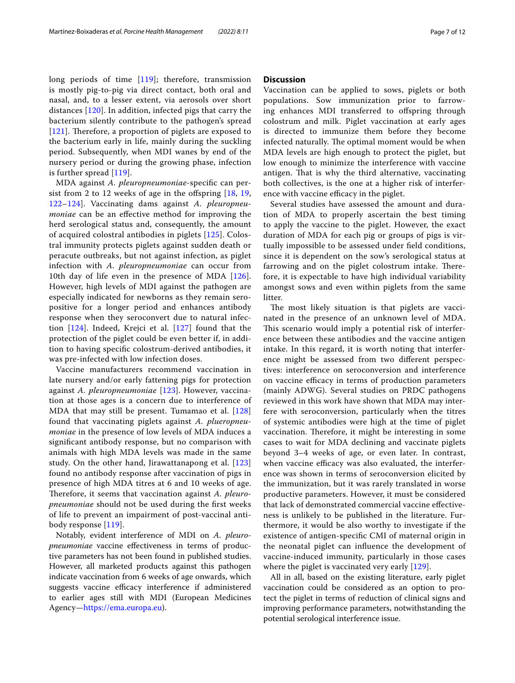long periods of time [\[119\]](#page-10-29); therefore, transmission is mostly pig-to-pig via direct contact, both oral and nasal, and, to a lesser extent, via aerosols over short distances [[120\]](#page-10-30). In addition, infected pigs that carry the bacterium silently contribute to the pathogen's spread  $[121]$  $[121]$  $[121]$ . Therefore, a proportion of piglets are exposed to the bacterium early in life, mainly during the suckling period. Subsequently, when MDI wanes by end of the nursery period or during the growing phase, infection is further spread [[119](#page-10-29)].

MDA against *A. pleuropneumoniae*-specifc can persist from 2 to 12 weeks of age in the ofspring [\[18,](#page-7-16) [19](#page-7-17), [122–](#page-10-5)[124](#page-10-7)]. Vaccinating dams against *A. pleuropneumoniae* can be an effective method for improving the herd serological status and, consequently, the amount of acquired colostral antibodies in piglets [[125](#page-11-1)]. Colostral immunity protects piglets against sudden death or peracute outbreaks, but not against infection, as piglet infection with *A. pleuropneumoniae* can occur from 10th day of life even in the presence of MDA [[126](#page-11-2)]. However, high levels of MDI against the pathogen are especially indicated for newborns as they remain seropositive for a longer period and enhances antibody response when they seroconvert due to natural infection [[124\]](#page-10-7). Indeed, Krejci et al. [\[127\]](#page-11-3) found that the protection of the piglet could be even better if, in addition to having specifc colostrum-derived antibodies, it was pre-infected with low infection doses.

Vaccine manufacturers recommend vaccination in late nursery and/or early fattening pigs for protection against *A. pleuropneumoniae* [[123](#page-10-6)]. However, vaccination at those ages is a concern due to interference of MDA that may still be present. Tumamao et al. [\[128](#page-11-0)] found that vaccinating piglets against *A. plueropneumoniae* in the presence of low levels of MDA induces a signifcant antibody response, but no comparison with animals with high MDA levels was made in the same study. On the other hand, Jirawattanapong et al. [\[123](#page-10-6)] found no antibody response after vaccination of pigs in presence of high MDA titres at 6 and 10 weeks of age. Therefore, it seems that vaccination against *A. pleuropneumoniae* should not be used during the frst weeks of life to prevent an impairment of post-vaccinal antibody response [\[119](#page-10-29)].

Notably, evident interference of MDI on *A. pleuropneumoniae* vaccine effectiveness in terms of productive parameters has not been found in published studies. However, all marketed products against this pathogen indicate vaccination from 6 weeks of age onwards, which suggests vaccine efficacy interference if administered to earlier ages still with MDI (European Medicines Agency—<https://ema.europa.eu>).

# **Discussion**

Vaccination can be applied to sows, piglets or both populations. Sow immunization prior to farrowing enhances MDI transferred to offspring through colostrum and milk. Piglet vaccination at early ages is directed to immunize them before they become infected naturally. The optimal moment would be when MDA levels are high enough to protect the piglet, but low enough to minimize the interference with vaccine antigen. That is why the third alternative, vaccinating both collectives, is the one at a higher risk of interference with vaccine efficacy in the piglet.

Several studies have assessed the amount and duration of MDA to properly ascertain the best timing to apply the vaccine to the piglet. However, the exact duration of MDA for each pig or groups of pigs is virtually impossible to be assessed under feld conditions, since it is dependent on the sow's serological status at farrowing and on the piglet colostrum intake. Therefore, it is expectable to have high individual variability amongst sows and even within piglets from the same litter.

The most likely situation is that piglets are vaccinated in the presence of an unknown level of MDA. This scenario would imply a potential risk of interference between these antibodies and the vaccine antigen intake. In this regard, it is worth noting that interference might be assessed from two diferent perspectives: interference on seroconversion and interference on vaccine efficacy in terms of production parameters (mainly ADWG). Several studies on PRDC pathogens reviewed in this work have shown that MDA may interfere with seroconversion, particularly when the titres of systemic antibodies were high at the time of piglet vaccination. Therefore, it might be interesting in some cases to wait for MDA declining and vaccinate piglets beyond 3–4 weeks of age, or even later. In contrast, when vaccine efficacy was also evaluated, the interference was shown in terms of seroconversion elicited by the immunization, but it was rarely translated in worse productive parameters. However, it must be considered that lack of demonstrated commercial vaccine efectiveness is unlikely to be published in the literature. Furthermore, it would be also worthy to investigate if the existence of antigen-specifc CMI of maternal origin in the neonatal piglet can infuence the development of vaccine-induced immunity, particularly in those cases where the piglet is vaccinated very early  $[129]$  $[129]$ .

All in all, based on the existing literature, early piglet vaccination could be considered as an option to protect the piglet in terms of reduction of clinical signs and improving performance parameters, notwithstanding the potential serological interference issue.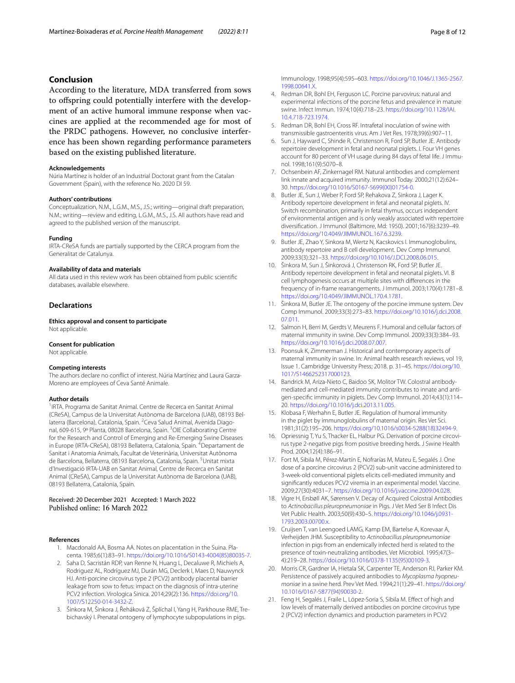# **Conclusion**

According to the literature, MDA transferred from sows to ofspring could potentially interfere with the development of an active humoral immune response when vaccines are applied at the recommended age for most of the PRDC pathogens. However, no conclusive interference has been shown regarding performance parameters based on the existing published literature.

### **Acknowledgements**

Núria Martínez is holder of an Industrial Doctorat grant from the Catalan Government (Spain), with the reference No. 2020 DI 59.

#### **Authors' contributions**

Conceptualization, N.M., L.G.M., M.S., J.S.; writing—original draft preparation, N.M.; writing—review and editing, L.G.M., M.S., J.S. All authors have read and agreed to the published version of the manuscript.

#### **Funding**

IRTA-CReSA funds are partially supported by the CERCA program from the Generalitat de Catalunya.

#### **Availability of data and materials**

All data used in this review work has been obtained from public scientifc databases, available elsewhere.

# **Declarations**

**Ethics approval and consent to participate** Not applicable.

### **Consent for publication**

Not applicable.

#### **Competing interests**

The authors declare no confict of interest. Núria Martínez and Laura Garza-Moreno are employees of Ceva Santé Animale.

#### **Author details**

<sup>1</sup> IRTA. Programa de Sanitat Animal. Centre de Recerca en Sanitat Animal (CReSA), Campus de la Universitat Autònoma de Barcelona (UAB), 08193 Bel‑ laterra (Barcelona), Catalonia, Spain. <sup>2</sup>Ceva Salud Animal, Avenida Diagonal, 609-615, 9º Planta, 08028 Barcelona, Spain. <sup>3</sup>OIE Collaborating Centre for the Research and Control of Emerging and Re-Emerging Swine Diseases in Europe (IRTA-CReSA), 08193 Bellaterra, Catalonia, Spain. <sup>4</sup>Departament de Sanitat i Anatomia Animals, Facultat de Veterinària, Universitat Autònoma de Barcelona, Bellaterra, 08193 Barcelona, Catalonia, Spain. <sup>5</sup>Unitat mixta d'Investigació IRTA‑UAB en Sanitat Animal, Centre de Recerca en Sanitat Animal (CReSA), Campus de la Universitat Autònoma de Barcelona (UAB), 08193 Bellaterra, Catalonia, Spain.

#### Received: 20 December 2021 Accepted: 1 March 2022 Published online: 16 March 2022

#### <span id="page-7-0"></span>**References**

- 1. Macdonald AA, Bosma AA. Notes on placentation in the Suina. Placenta. 1985;6(1):83–91. [https://doi.org/10.1016/S0143-4004\(85\)80035-7](https://doi.org/10.1016/S0143-4004(85)80035-7).
- <span id="page-7-1"></span>2. Saha D, Sacristán RDP, van Renne N, Huang L, Decaluwe R, Michiels A, Rodriguez AL, Rodríguez MJ, Durán MG, Declerk I, Maes D, Nauwynck HJ. Anti-porcine circovirus type 2 (PCV2) antibody placental barrier leakage from sow to fetus: impact on the diagnosis of intra-uterine PCV2 infection. Virologica Sinica. 2014;29(2):136. [https://doi.org/10.](https://doi.org/10.1007/S12250-014-3432-Z) [1007/S12250-014-3432-Z.](https://doi.org/10.1007/S12250-014-3432-Z)
- <span id="page-7-2"></span>3. Šinkora M, Šinkora J, Řeháková Z, Šplíchal I, Yang H, Parkhouse RME, Tre‑ bichavský I. Prenatal ontogeny of lymphocyte subpopulations in pigs.

Immunology. 1998;95(4):595–603. [https://doi.org/10.1046/J.1365-2567.](https://doi.org/10.1046/J.1365-2567.1998.00641.X) [1998.00641.X.](https://doi.org/10.1046/J.1365-2567.1998.00641.X)

- <span id="page-7-3"></span>4. Redman DR, Bohl EH, Ferguson LC. Porcine parvovirus: natural and experimental infections of the porcine fetus and prevalence in mature swine. Infect Immun. 1974;10(4):718–23. [https://doi.org/10.1128/IAI.](https://doi.org/10.1128/IAI.10.4.718-723.1974) [10.4.718-723.1974.](https://doi.org/10.1128/IAI.10.4.718-723.1974)
- 5. Redman DR, Bohl EH, Cross RF. Intrafetal inoculation of swine with transmissible gastroenteritis virus. Am J Vet Res. 1978;39(6):907–11.
- <span id="page-7-4"></span>Sun J, Hayward C, Shinde R, Christenson R, Ford SP, Butler JE. Antibody repertoire development in fetal and neonatal piglets. I. Four VH genes account for 80 percent of VH usage during 84 days of fetal life. J Immunol. 1998;161(9):5070–8.
- <span id="page-7-5"></span>7. Ochsenbein AF, Zinkernagel RM. Natural antibodies and complement link innate and acquired immunity. Immunol Today. 2000;21(12):624– 30. [https://doi.org/10.1016/S0167-5699\(00\)01754-0.](https://doi.org/10.1016/S0167-5699(00)01754-0)
- <span id="page-7-6"></span>8. Butler JE, Sun J, Weber P, Ford SP, Rehakova Z, Sinkora J, Lager K. Antibody repertoire development in fetal and neonatal piglets. IV. Switch recombination, primarily in fetal thymus, occurs independent of environmental antigen and is only weakly associated with repertoire diversifcation. J Immunol (Baltimore, Md: 1950). 2001;167(6):3239–49. <https://doi.org/10.4049/JIMMUNOL.167.6.3239>.
- <span id="page-7-7"></span>9. Butler JE, Zhao Y, Sinkora M, Wertz N, Kacskovics I. Immunoglobulins, antibody repertoire and B cell development. Dev Comp Immunol. 2009;33(3):321–33. [https://doi.org/10.1016/J.DCI.2008.06.015.](https://doi.org/10.1016/J.DCI.2008.06.015)
- <span id="page-7-8"></span>10. Šinkora M, Sun J, Šinkorová J, Christenson RK, Ford SP, Butler JE. Antibody repertoire development in fetal and neonatal piglets. VI. B cell lymphogenesis occurs at multiple sites with diferences in the frequency of in-frame rearrangements. J Immunol. 2003;170(4):1781–8. <https://doi.org/10.4049/JIMMUNOL.170.4.1781>.
- <span id="page-7-9"></span>11. Šinkora M, Butler JE. The ontogeny of the porcine immune system. Dev Comp Immunol. 2009;33(3):273–83. [https://doi.org/10.1016/j.dci.2008.](https://doi.org/10.1016/j.dci.2008.07.011) [07.011.](https://doi.org/10.1016/j.dci.2008.07.011)
- <span id="page-7-10"></span>12. Salmon H, Berri M, Gerdts V, Meurens F. Humoral and cellular factors of maternal immunity in swine. Dev Comp Immunol. 2009;33(3):384–93. [https://doi.org/10.1016/j.dci.2008.07.007.](https://doi.org/10.1016/j.dci.2008.07.007)
- <span id="page-7-11"></span>13. Poonsuk K, Zimmerman J. Historical and contemporary aspects of maternal immunity in swine. In: Animal health research reviews, vol 19, Issue 1. Cambridge University Press; 2018. p. 31–45. [https://doi.org/10.](https://doi.org/10.1017/S1466252317000123.) [1017/S1466252317000123.](https://doi.org/10.1017/S1466252317000123.)
- <span id="page-7-12"></span>14. Bandrick M, Ariza-Nieto C, Baidoo SK, Molitor TW. Colostral antibodymediated and cell-mediated immunity contributes to innate and antigen-specifc immunity in piglets. Dev Comp Immunol. 2014;43(1):114– 20.<https://doi.org/10.1016/j.dci.2013.11.005>.
- <span id="page-7-13"></span>15. Klobasa F, Werhahn E, Butler JE. Regulation of humoral immunity in the piglet by immunoglobulins of maternal origin. Res Vet Sci. 1981;31(2):195–206. [https://doi.org/10.1016/s0034-5288\(18\)32494-9.](https://doi.org/10.1016/s0034-5288(18)32494-9)
- <span id="page-7-14"></span>16. Opriessnig T, Yu S, Thacker EL, Halbur PG. Derivation of porcine circovirus type 2-negative pigs from positive breeding herds. J Swine Health Prod. 2004;12(4):186–91.
- <span id="page-7-15"></span>17. Fort M, Sibila M, Pérez-Martín E, Nofrarías M, Mateu E, Segalés J. One dose of a porcine circovirus 2 (PCV2) sub-unit vaccine administered to 3-week-old conventional piglets elicits cell-mediated immunity and signifcantly reduces PCV2 viremia in an experimental model. Vaccine. 2009;27(30):4031–7.<https://doi.org/10.1016/j.vaccine.2009.04.028>.
- <span id="page-7-16"></span>18. Vigre H, Ersbøll AK, Sørensen V. Decay of Acquired Colostral Antibodies to *Actinobacillus pleuropneumoniae* in Pigs. J Vet Med Ser B Infect Dis Vet Public Health. 2003;50(9):430–5. [https://doi.org/10.1046/j.0931-](https://doi.org/10.1046/j.0931-1793.2003.00700.x) [1793.2003.00700.x](https://doi.org/10.1046/j.0931-1793.2003.00700.x).
- <span id="page-7-17"></span>19. Cruijsen T, van Leengoed LAMG, Kamp EM, Bartelse A, Korevaar A, Verheijden JHM. Susceptibility to *Actinobacillus pleuropneumoniae* infection in pigs from an endemically infected herd is related to the presence of toxin-neutralizing antibodies. Vet Microbiol. 1995;47(3– 4):219–28. [https://doi.org/10.1016/0378-1135\(95\)00109-3](https://doi.org/10.1016/0378-1135(95)00109-3).
- <span id="page-7-18"></span>20. Morris CR, Gardner IA, Hietala SK, Carpenter TE, Anderson RJ, Parker KM. Persistence of passively acquired antibodies to *Mycoplasma hyopneumoniae* in a swine herd. Prev Vet Med. 1994;21(1):29–41. [https://doi.org/](https://doi.org/10.1016/0167-5877(94)90030-2) [10.1016/0167-5877\(94\)90030-2](https://doi.org/10.1016/0167-5877(94)90030-2).
- <span id="page-7-19"></span>21. Feng H, Segalés J, Fraile L, López-Soria S, Sibila M. Efect of high and low levels of maternally derived antibodies on porcine circovirus type 2 (PCV2) infection dynamics and production parameters in PCV2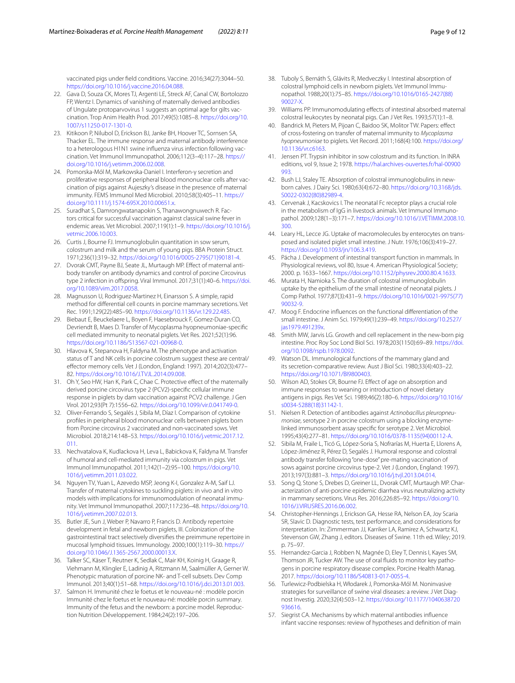vaccinated pigs under feld conditions. Vaccine. 2016;34(27):3044–50. <https://doi.org/10.1016/j.vaccine.2016.04.088>.

- 22. Gava D, Souza CK, Mores TJ, Argenti LE, Streck AF, Canal CW, Bortolozzo FP, Wentz I. Dynamics of vanishing of maternally derived antibodies of Ungulate protoparvovirus 1 suggests an optimal age for gilts vaccination. Trop Anim Health Prod. 2017;49(5):1085–8. [https://doi.org/10.](https://doi.org/10.1007/s11250-017-1301-0) [1007/s11250-017-1301-0.](https://doi.org/10.1007/s11250-017-1301-0)
- <span id="page-8-0"></span>23. Kitikoon P, Nilubol D, Erickson BJ, Janke BH, Hoover TC, Sornsen SA, Thacker EL. The immune response and maternal antibody interference to a heterologous H1N1 swine influenza virus infection following vaccination. Vet Immunol Immunopathol. 2006;112(3–4):117–28. [https://](https://doi.org/10.1016/j.vetimm.2006.02.008) [doi.org/10.1016/j.vetimm.2006.02.008.](https://doi.org/10.1016/j.vetimm.2006.02.008)
- 24. Pomorska-Mól M, Markowska-Daniel I. Interferon-γ secretion and proliferative responses of peripheral blood mononuclear cells after vaccination of pigs against Aujeszky's disease in the presence of maternal immunity. FEMS Immunol Med Microbiol. 2010;58(3):405–11. [https://](https://doi.org/10.1111/j.1574-695X.2010.00651.x) [doi.org/10.1111/j.1574-695X.2010.00651.x.](https://doi.org/10.1111/j.1574-695X.2010.00651.x)
- <span id="page-8-1"></span>25. Suradhat S, Damrongwatanapokin S, Thanawongnuwech R. Factors critical for successful vaccination against classical swine fever in endemic areas. Vet Microbiol. 2007;119(1):1–9. [https://doi.org/10.1016/j.](https://doi.org/10.1016/j.vetmic.2006.10.003) [vetmic.2006.10.003](https://doi.org/10.1016/j.vetmic.2006.10.003).
- <span id="page-8-2"></span>26. Curtis J, Bourne FJ. Immunoglobulin quantitation in sow serum, colostrum and milk and the serum of young pigs. BBA Protein Struct. 1971;236(1):319–32. [https://doi.org/10.1016/0005-2795\(71\)90181-4.](https://doi.org/10.1016/0005-2795(71)90181-4)
- <span id="page-8-3"></span>27. Dvorak CMT, Payne BJ, Seate JL, Murtaugh MP. Effect of maternal antibody transfer on antibody dynamics and control of porcine Circovirus type 2 infection in ofspring. Viral Immunol. 2017;31(1):40–6. [https://doi.](https://doi.org/10.1089/vim.2017.0058) [org/10.1089/vim.2017.0058.](https://doi.org/10.1089/vim.2017.0058)
- <span id="page-8-4"></span>28. Magnusson U, Rodriguez-Martinez H, Einarsson S. A simple, rapid method for diferential cell counts in porcine mammary secretions. Vet Rec. 1991;129(22):485–90. [https://doi.org/10.1136/vr.129.22.485.](https://doi.org/10.1136/vr.129.22.485)
- <span id="page-8-5"></span>29. Biebaut E, Beuckelaere L, Boyen F, Haesebrouck F, Gomez-Duran CO, Devriendt B, Maes D. Transfer of Mycoplasma hyopneumoniae-specifc cell mediated immunity to neonatal piglets. Vet Res. 2021;52(1):96. <https://doi.org/10.1186/S13567-021-00968-0>.
- 30. Hlavova K, Stepanova H, Faldyna M. The phenotype and activation status of T and NK cells in porcine colostrum suggest these are central/ efector memory cells. Vet J (London, England: 1997). 2014;202(3):477– 82.<https://doi.org/10.1016/J.TVJL.2014.09.008>.
- 31. Oh Y, Seo HW, Han K, Park C, Chae C. Protective effect of the maternally derived porcine circovirus type 2 (PCV2)-specifc cellular immune response in piglets by dam vaccination against PCV2 challenge. J Gen Virol. 2012;93(Pt 7):1556–62. <https://doi.org/10.1099/vir.0.041749-0>.
- <span id="page-8-6"></span>32. Oliver-Ferrando S, Segalés J, Sibila M, Díaz I. Comparison of cytokine profles in peripheral blood mononuclear cells between piglets born from Porcine circovirus 2 vaccinated and non-vaccinated sows. Vet Microbiol. 2018;214:148–53. [https://doi.org/10.1016/j.vetmic.2017.12.](https://doi.org/10.1016/j.vetmic.2017.12.011) [011](https://doi.org/10.1016/j.vetmic.2017.12.011).
- <span id="page-8-7"></span>33. Nechvatalova K, Kudlackova H, Leva L, Babickova K, Faldyna M. Transfer of humoral and cell-mediated immunity via colostrum in pigs. Vet Immunol Immunopathol. 2011;142(1–2):95–100. [https://doi.org/10.](https://doi.org/10.1016/j.vetimm.2011.03.022) [1016/j.vetimm.2011.03.022](https://doi.org/10.1016/j.vetimm.2011.03.022).
- <span id="page-8-8"></span>34. Nguyen TV, Yuan L, Azevedo MSP, Jeong K-I, Gonzalez A-M, Saif LJ. Transfer of maternal cytokines to suckling piglets: in vivo and in vitro models with implications for immunomodulation of neonatal immunity. Vet Immunol Immunopathol. 2007;117:236–48. [https://doi.org/10.](https://doi.org/10.1016/j.vetimm.2007.02.013) [1016/j.vetimm.2007.02.013](https://doi.org/10.1016/j.vetimm.2007.02.013).
- <span id="page-8-9"></span>35. Butler JE, Sun J, Weber P, Navarro P, Francis D. Antibody repertoire development in fetal and newborn piglets, III. Colonization of the gastrointestinal tract selectively diversifes the preimmune repertoire in mucosal lymphoid tissues. Immunology. 2000;100(1):119–30. [https://](https://doi.org/10.1046/J.1365-2567.2000.00013.X) [doi.org/10.1046/J.1365-2567.2000.00013.X](https://doi.org/10.1046/J.1365-2567.2000.00013.X).
- <span id="page-8-10"></span>Talker SC, Käser T, Reutner K, Sedlak C, Mair KH, Koinig H, Graage R, Viehmann M, Klingler E, Ladinig A, Ritzmann M, Saalmüller A, Gerner W. Phenotypic maturation of porcine NK- and T-cell subsets. Dev Comp Immunol. 2013;40(1):51–68. [https://doi.org/10.1016/j.dci.2013.01.003.](https://doi.org/10.1016/j.dci.2013.01.003)
- <span id="page-8-11"></span>Salmon H. Immunité chez le foetus et le nouveau-né : modèle porcin Immunité chez le foetus et le nouveau-né: modèle porcin summary. Immunity of the fetus and the newborn: a porcine model. Reproduction Nutrition Développement. 1984;24(2):197–206.
- <span id="page-8-12"></span>38. Tuboly S, Bernáth S, Glávits R, Medveczky I. Intestinal absorption of colostral lymphoid cells in newborn piglets. Vet Immunol Immunopathol. 1988;20(1):75–85. [https://doi.org/10.1016/0165-2427\(88\)](https://doi.org/10.1016/0165-2427(88)90027-X) [90027-X.](https://doi.org/10.1016/0165-2427(88)90027-X)
- <span id="page-8-13"></span>39. Williams PP. Immunomodulating efects of intestinal absorbed maternal colostral leukocytes by neonatal pigs. Can J Vet Res. 1993;57(1):1–8.
- <span id="page-8-14"></span>40. Bandrick M, Pieters M, Pijoan C, Baidoo SK, Molitor TW. Papers: efect of cross-fostering on transfer of maternal immunity to *Mycoplasma hyopneumoniae* to piglets. Vet Record. 2011;168(4):100. [https://doi.org/](https://doi.org/10.1136/vr.c6163) [10.1136/vr.c6163.](https://doi.org/10.1136/vr.c6163)
- <span id="page-8-15"></span>41. Jensen PT. Trypsin inhibitor in sow colostrum and its function. In INRA editions, vol 9, Issue 2; 1978. [https://hal.archives-ouvertes.fr/hal-00900](https://hal.archives-ouvertes.fr/hal-00900993.) [993.](https://hal.archives-ouvertes.fr/hal-00900993.)
- <span id="page-8-16"></span>42. Bush LJ, Staley TE. Absorption of colostral immunoglobulins in newborn calves. J Dairy Sci. 1980;63(4):672–80. [https://doi.org/10.3168/jds.](https://doi.org/10.3168/jds.S0022-0302(80)82989-4) [S0022-0302\(80\)82989-4.](https://doi.org/10.3168/jds.S0022-0302(80)82989-4)
- 43. Cervenak J, Kacskovics I. The neonatal Fc receptor plays a crucial role in the metabolism of IgG in livestock animals. Vet Immunol Immunopathol. 2009;128(1–3):171–7. [https://doi.org/10.1016/J.VETIMM.2008.10.](https://doi.org/10.1016/J.VETIMM.2008.10.300) [300](https://doi.org/10.1016/J.VETIMM.2008.10.300).
- 44. Leary HL, Lecce JG. Uptake of macromolecules by enterocytes on transposed and isolated piglet small intestine. J Nutr. 1976;106(3):419–27. [https://doi.org/10.1093/jn/106.3.419.](https://doi.org/10.1093/jn/106.3.419)
- <span id="page-8-17"></span>45. Pácha J. Development of intestinal transport function in mammals. In Physiological reviews, vol 80, Issue 4. American Physiological Society; 2000. p. 1633–1667. <https://doi.org/10.1152/physrev.2000.80.4.1633.>
- <span id="page-8-18"></span>46. Murata H, Namioka S. The duration of colostral immunoglobulin uptake by the epithelium of the small intestine of neonatal piglets. J Comp Pathol. 1977;87(3):431–9. [https://doi.org/10.1016/0021-9975\(77\)](https://doi.org/10.1016/0021-9975(77)90032-9) [90032-9](https://doi.org/10.1016/0021-9975(77)90032-9).
- <span id="page-8-19"></span>47. Moog F. Endocrine infuences on the functional diferentiation of the small intestine. J Anim Sci. 1979;49(1):239–49. [https://doi.org/10.2527/](https://doi.org/10.2527/jas1979.491239x) [jas1979.491239x](https://doi.org/10.2527/jas1979.491239x).
- <span id="page-8-20"></span>48. Smith MW, Jarvis LG. Growth and cell replacement in the new-born pig intestine. Proc Roy Soc Lond Biol Sci. 1978;203(1150):69–89. [https://doi.](https://doi.org/10.1098/rspb.1978.0092) [org/10.1098/rspb.1978.0092](https://doi.org/10.1098/rspb.1978.0092).
- <span id="page-8-21"></span>49. Watson DL. Immunological functions of the mammary gland and its secretion-comparative review. Aust J Biol Sci. 1980;33(4):403–22. <https://doi.org/10.1071/BI9800403>.
- <span id="page-8-22"></span>50. Wilson AD, Stokes CR, Bourne FJ. Efect of age on absorption and immune responses to weaning or introduction of novel dietary antigens in pigs. Res Vet Sci. 1989;46(2):180–6. [https://doi.org/10.1016/](https://doi.org/10.1016/s0034-5288(18)31142-1) [s0034-5288\(18\)31142-1](https://doi.org/10.1016/s0034-5288(18)31142-1).
- <span id="page-8-23"></span>51. Nielsen R. Detection of antibodies against *Actinobacillus pleuropneumoniae*, serotype 2 in porcine colostrum using a blocking enzymelinked immunosorbent assay specifc for serotype 2. Vet Microbiol. 1995;43(4):277–81. [https://doi.org/10.1016/0378-1135\(94\)00112-A](https://doi.org/10.1016/0378-1135(94)00112-A).
- 52. Sibila M, Fraile L, Ticó G, López-Soria S, Nofrarías M, Huerta E, Llorens A, López-Jiménez R, Pérez D, Segalés J. Humoral response and colostral antibody transfer following "one-dose" pre-mating vaccination of sows against porcine circovirus type-2. Vet J (London, England: 1997). 2013;197(3):881–3.<https://doi.org/10.1016/j.tvjl.2013.04.014>.
- <span id="page-8-24"></span>53. Song Q, Stone S, Drebes D, Greiner LL, Dvorak CMT, Murtaugh MP. Characterization of anti-porcine epidemic diarrhea virus neutralizing activity in mammary secretions. Virus Res. 2016;226:85–92. [https://doi.org/10.](https://doi.org/10.1016/J.VIRUSRES.2016.06.002) [1016/J.VIRUSRES.2016.06.002](https://doi.org/10.1016/J.VIRUSRES.2016.06.002).
- <span id="page-8-25"></span>54. Christopher-Hennings J, Erickson GA, Hesse RA, Nelson EA, Joy Scaria SR, Slavic D. Diagnostic tests, test performance, and considerations for interpretation. In: Zimmerman JJ, Karriker LA, Ramirez A, Schwartz KJ, Stevenson GW, Zhang J, editors. Diseases of Swine. 11th ed. Wiley; 2019. p. 75–97.
- <span id="page-8-26"></span>55. Hernandez-Garcia J, Robben N, Magnée D, Eley T, Dennis I, Kayes SM, Thomson JR. Tucker AW. The use of oral fluids to monitor key pathogens in porcine respiratory disease complex. Porcine Health Manag. 2017.<https://doi.org/10.1186/S40813-017-0055-4>.
- <span id="page-8-27"></span>56. Turlewicz-Podbielska H, Włodarek J, Pomorska-Mól M. Noninvasive strategies for surveillance of swine viral diseases: a review. J Vet Diagnost Investig. 2020;32(4):503–12. [https://doi.org/10.1177/1040638720](https://doi.org/10.1177/1040638720936616) [936616](https://doi.org/10.1177/1040638720936616).
- <span id="page-8-28"></span>57. Siegrist CA. Mechanisms by which maternal antibodies infuence infant vaccine responses: review of hypotheses and defnition of main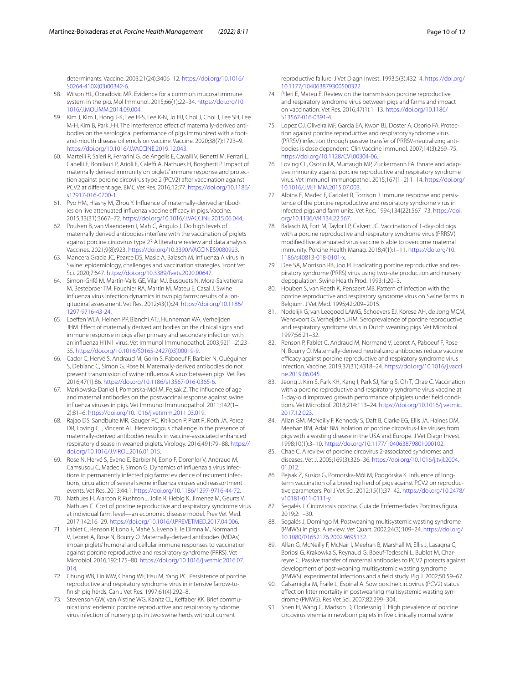determinants. Vaccine. 2003;21(24):3406–12. [https://doi.org/10.1016/](https://doi.org/10.1016/S0264-410X(03)00342-6) [S0264-410X\(03\)00342-6](https://doi.org/10.1016/S0264-410X(03)00342-6).

- <span id="page-9-14"></span>58. Wilson HL, Obradovic MR. Evidence for a common mucosal immune system in the pig. Mol Immunol. 2015;66(1):22–34. [https://doi.org/10.](https://doi.org/10.1016/J.MOLIMM.2014.09.004) [1016/J.MOLIMM.2014.09.004.](https://doi.org/10.1016/J.MOLIMM.2014.09.004)
- <span id="page-9-15"></span>59. Kim J, Kim T, Hong J-K, Lee H-S, Lee K-N, Jo HJ, Choi J, Choi J, Lee SH, Lee M-H, Kim B, Park J-H. The interference effect of maternally-derived antibodies on the serological performance of pigs immunized with a footand-mouth disease oil emulsion vaccine. Vaccine. 2020;38(7):1723–9. [https://doi.org/10.1016/J.VACCINE.2019.12.043.](https://doi.org/10.1016/J.VACCINE.2019.12.043)
- <span id="page-9-13"></span>60. Martelli P, Saleri R, Ferrarini G, de Angelis E, Cavalli V, Benetti M, Ferrari L, Canelli E, Bonilauri P, Arioli E, Caleffi A, Nathues H, Borghetti P. Impact of maternally derived immunity on piglets' immune response and protection against porcine circovirus type 2 (PCV2) after vaccination against PCV2 at diferent age. BMC Vet Res. 2016;12:77. [https://doi.org/10.1186/](https://doi.org/10.1186/s12917-016-0700-1) [s12917-016-0700-1](https://doi.org/10.1186/s12917-016-0700-1).
- <span id="page-9-16"></span>61. Pyo HM, Hlasny M, Zhou Y. Influence of maternally-derived antibodies on live attenuated influenza vaccine efficacy in pigs. Vaccine. 2015;33(31):3667–72. <https://doi.org/10.1016/J.VACCINE.2015.06.044>.
- <span id="page-9-17"></span>62. Poulsen B, van Vlaenderen I, Mah C, Angulo J. Do high levels of maternally derived antibodies interfere with the vaccination of piglets against porcine circovirus type 2? A literature review and data analysis. Vaccines. 2021;9(8):923.<https://doi.org/10.3390/VACCINES9080923>.
- <span id="page-9-18"></span>63. Mancera Gracia JC, Pearce DS, Masic A, Balasch M. Infuenza A virus in Swine: epidemiology, challenges and vaccination strategies. Front Vet Sci. 2020;7:647. [https://doi.org/10.3389/fvets.2020.00647.](https://doi.org/10.3389/fvets.2020.00647)
- <span id="page-9-19"></span>64. Simon-Grifé M, Martín-Valls GE, Vilar MJ, Busquets N, Mora-Salvatierra M, Bestebroer TM, Fouchier RA, Martín M, Mateu E, Casal J. Swine influenza virus infection dynamics in two pig farms; results of a longitudinal assessment. Vet Res. 2012;43(1):24. [https://doi.org/10.1186/](https://doi.org/10.1186/1297-9716-43-24) [1297-9716-43-24.](https://doi.org/10.1186/1297-9716-43-24)
- <span id="page-9-0"></span>65. Loefen WLA, Heinen PP, Bianchi ATJ, Hunneman WA, Verheijden JHM. Effect of maternally derived antibodies on the clinical signs and immune response in pigs after primary and secondary infection with an infuenza H1N1 virus. Vet Immunol Immunopathol. 2003;92(1–2):23– 35. [https://doi.org/10.1016/S0165-2427\(03\)00019-9.](https://doi.org/10.1016/S0165-2427(03)00019-9)
- <span id="page-9-3"></span>66. Cador C, Hervé S, Andraud M, Gorin S, Paboeuf F, Barbier N, Quéguiner S, Deblanc C, Simon G, Rose N. Maternally-derived antibodies do not prevent transmission of swine infuenza A virus between pigs. Vet Res. 2016;47(1):86. [https://doi.org/10.1186/s13567-016-0365-6.](https://doi.org/10.1186/s13567-016-0365-6)
- <span id="page-9-1"></span>67. Markowska-Daniel I, Pomorska-Mól M, Pejsak Z. The infuence of age and maternal antibodies on the postvaccinal response against swine infuenza viruses in pigs. Vet Immunol Immunopathol. 2011;142(1– 2):81–6. <https://doi.org/10.1016/j.vetimm.2011.03.019>.
- <span id="page-9-4"></span>68. Rajao DS, Sandbulte MR, Gauger PC, Kitikoon P, Platt R, Roth JA, Perez DR, Loving CL, Vincent AL. Heterologous challenge in the presence of maternally-derived antibodies results in vaccine-associated enhanced respiratory disease in weaned piglets. Virology. 2016;491:79–88. [https://](https://doi.org/10.1016/J.VIROL.2016.01.015) [doi.org/10.1016/J.VIROL.2016.01.015](https://doi.org/10.1016/J.VIROL.2016.01.015).
- <span id="page-9-2"></span>69. Rose N, Hervé S, Eveno E, Barbier N, Eono F, Dorenlor V, Andraud M, Camsusou C, Madec F, Simon G, Dynamics of influenza a virus infections in permanently infected pig farms: evidence of recurrent infections, circulation of several swine infuenza viruses and reassortment events. Vet Res. 2013;44:1. [https://doi.org/10.1186/1297-9716-44-72.](https://doi.org/10.1186/1297-9716-44-72)
- <span id="page-9-20"></span>70. Nathues H, Alarcon P, Rushton J, Jolie R, Fiebig K, Jimenez M, Geurts V, Nathues C. Cost of porcine reproductive and respiratory syndrome virus at individual farm level—an economic disease model. Prev Vet Med. 2017;142:16–29. <https://doi.org/10.1016/J.PREVETMED.2017.04.006>.
- <span id="page-9-10"></span>71. Fablet C, Renson P, Eono F, Mahé S, Eveno E, le Dimna M, Normand V, Lebret A, Rose N, Bourry O. Maternally-derived antibodies (MDAs) impair piglets' humoral and cellular immune responses to vaccination against porcine reproductive and respiratory syndrome (PRRS). Vet Microbiol. 2016;192:175–80. [https://doi.org/10.1016/j.vetmic.2016.07.](https://doi.org/10.1016/j.vetmic.2016.07.014) [014](https://doi.org/10.1016/j.vetmic.2016.07.014).
- <span id="page-9-9"></span>72. Chung WB, Lin MW, Chang WF, Hsu M, Yang PC. Persistence of porcine reproductive and respiratory syndrome virus in intensive farrow-tofnish pig herds. Can J Vet Res. 1997;61(4):292–8.
- <span id="page-9-21"></span>73. Stevenson GW, van Alstine WG, Kanitz CL, Keffaber KK. Brief communications: endemic porcine reproductive and respiratory syndrome virus infection of nursery pigs in two swine herds without current

reproductive failure. J Vet Diagn Invest. 1993;5(3):432–4. [https://doi.org/](https://doi.org/10.1177/104063879300500322) [10.1177/104063879300500322](https://doi.org/10.1177/104063879300500322).

- <span id="page-9-22"></span>74. Pileri E, Mateu E. Review on the transmission porcine reproductive and respiratory syndrome virus between pigs and farms and impact on vaccination. Vet Res. 2016;47(1):1–13. [https://doi.org/10.1186/](https://doi.org/10.1186/S13567-016-0391-4) [S13567-016-0391-4](https://doi.org/10.1186/S13567-016-0391-4).
- <span id="page-9-23"></span>75. Lopez OJ, Oliveira MF, Garcia EA, Kwon BJ, Doster A, Osorio FA. Protection against porcine reproductive and respiratory syndrome virus (PRRSV) infection through passive transfer of PRRSV-neutralizing antibodies is dose dependent. Clin Vaccine Immunol. 2007;14(3):269–75. <https://doi.org/10.1128/CVI.00304-06>.
- <span id="page-9-24"></span>76. Loving CL, Osorio FA, Murtaugh MP, Zuckermann FA. Innate and adaptive immunity against porcine reproductive and respiratory syndrome virus. Vet Immunol Immunopathol. 2015;167(1–2):1–14. [https://doi.org/](https://doi.org/10.1016/J.VETIMM.2015.07.003) [10.1016/J.VETIMM.2015.07.003](https://doi.org/10.1016/J.VETIMM.2015.07.003).
- <span id="page-9-6"></span>77. Albina E, Madec F, Cariolet R, Torrison J. Immune response and persistence of the porcine reproductive and respiratory syndrome virus in infected pigs and farm units. Vet Rec. 1994;134(22):567–73. [https://doi.](https://doi.org/10.1136/VR.134.22.567) [org/10.1136/VR.134.22.567.](https://doi.org/10.1136/VR.134.22.567)
- <span id="page-9-11"></span>78. Balasch M, Fort M, Taylor LP, Calvert JG. Vaccination of 1-day-old pigs with a porcine reproductive and respiratory syndrome virus (PRRSV) modifed live attenuated virus vaccine is able to overcome maternal immunity. Porcine Health Manag. 2018;4(1):1–11. [https://doi.org/10.](https://doi.org/10.1186/s40813-018-0101-x) [1186/s40813-018-0101-x](https://doi.org/10.1186/s40813-018-0101-x).
- <span id="page-9-5"></span>79. Dee SA, Morrison RB, Joo H. Eradicating porcine reproductive and respiratory syndrome (PRRS) virus using two-site production and nursery depopulation. Swine Health Prod. 1993;1:20–3.
- <span id="page-9-7"></span>80. Houben S, van Reeth K, Pensaert MB. Pattern of infection with the porcine reproductive and respiratory syndrome virus on Swine farms in Belgium. J Vet Med. 1995;42:209–2015.
- <span id="page-9-8"></span>81. Nodelijk G, van Leegoed LAMG, Schoevers EJ, Korese AH, de Jong MCM, Wensvoort G, Verheijden JHM. Seroprevalence of porcine reproductive and respiratory syndrome virus in Dutch weaning pigs. Vet Microbiol. 1997;56:21–32.
- <span id="page-9-12"></span>82. Renson P, Fablet C, Andraud M, Normand V, Lebret A, Paboeuf F, Rose N, Bourry O. Maternally-derived neutralizing antibodies reduce vaccine efficacy against porcine reproductive and respiratory syndrome virus infection. Vaccine. 2019;37(31):4318–24. [https://doi.org/10.1016/j.vacci](https://doi.org/10.1016/j.vaccine.2019.06.045) [ne.2019.06.045.](https://doi.org/10.1016/j.vaccine.2019.06.045)
- <span id="page-9-25"></span>83. Jeong J, Kim S, Park KH, Kang I, Park SJ, Yang S, Oh T, Chae C. Vaccination with a porcine reproductive and respiratory syndrome virus vaccine at 1-day-old improved growth performance of piglets under field conditions. Vet Microbiol. 2018;214:113–24. [https://doi.org/10.1016/j.vetmic.](https://doi.org/10.1016/j.vetmic.2017.12.023) [2017.12.023.](https://doi.org/10.1016/j.vetmic.2017.12.023)
- <span id="page-9-26"></span>84. Allan GM, McNeilly F, Kennedy S, Daft B, Clarke EG, Ellis JA, Haines DM, Meehan BM, Adair BM. Isolation of porcine circovirus-like viruses from pigs with a wasting disease in the USA and Europe. J Vet Diagn Invest. 1998;10(1):3–10.<https://doi.org/10.1177/104063879801000102>.
- <span id="page-9-27"></span>85. Chae C. A review of porcine circovirus 2-associated syndromes and diseases. Vet J. 2005;169(3):326–36. [https://doi.org/10.1016/j.tvjl.2004.](https://doi.org/10.1016/j.tvjl.2004.01.012) [01.012](https://doi.org/10.1016/j.tvjl.2004.01.012)
- 86. Pejsak Z, Kusior G, Pomorska-Mól M, Podgórska K. Infuence of longterm vaccination of a breeding herd of pigs against PCV2 on reproductive parameters. Pol J Vet Sci. 2012;15(1):37–42. [https://doi.org/10.2478/](https://doi.org/10.2478/v10181-011-0111-y) [v10181-011-0111-y](https://doi.org/10.2478/v10181-011-0111-y).
- <span id="page-9-28"></span>87. Segalés J. Circovirosis porcina. Guía de Enfermedades Porcinas figura. 2019;2:1–30.
- <span id="page-9-29"></span>88. Segalés J, Domingo M. Postweaning multisystemic wasting syndrome (PMWS) in pigs. A review. Vet Quart. 2002;24(3):109–24. [https://doi.org/](https://doi.org/10.1080/01652176.2002.9695132) [10.1080/01652176.2002.9695132](https://doi.org/10.1080/01652176.2002.9695132).
- <span id="page-9-30"></span>89. Allan G, McNeilly F, McNair I, Meehan B, Marshall M, Ellis J, Lasagna C, Boriosi G, Krakowka S, Reynaud G, Boeuf-Tedeschi L, Bublot M, Charreyre C. Passive transfer of maternal antibodies to PCV2 protects against development of post-weaning multisystemic wasting syndrome (PMWS): experimental infections and a feld study. Pig J. 2002;50:59–67.
- <span id="page-9-31"></span>90. Calsamiglia M, Fraile L, Espinal A. Sow porcine circovirus (PCV2) status effect on litter mortality in postweaning multisystemic wasting syndrome (PMWS). Res Vet Sci. 2007;82:299–304.
- <span id="page-9-32"></span>91. Shen H, Wang C, Madson D, Opriessnig T. High prevalence of porcine circovirus viremia in newborn piglets in fve clinically normal swine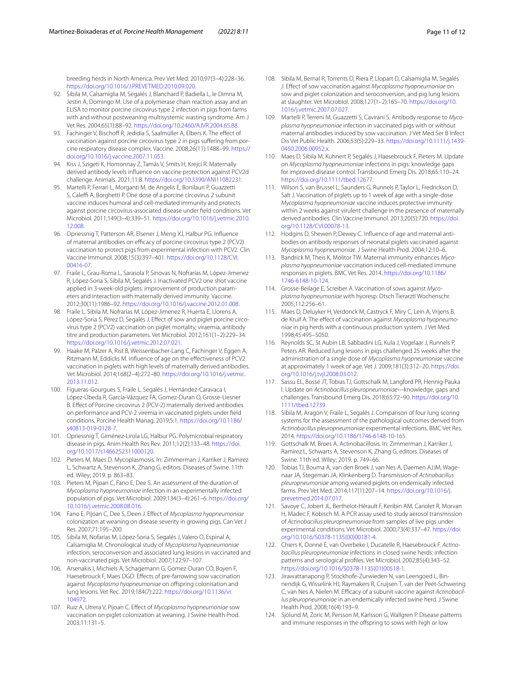breeding herds in North America. Prev Vet Med. 2010;97(3–4):228–36. [https://doi.org/10.1016/J.PREVETMED.2010.09.020.](https://doi.org/10.1016/J.PREVETMED.2010.09.020)

- <span id="page-10-18"></span>92. Sibila M, Calsamiglia M, Segalés J, Blanchard P, Badiella L, le Dimna M, Jestin A, Domingo M. Use of a polymerase chain reaction assay and an ELISA to monitor porcine circovirus type 2 infection in pigs from farms with and without postweaning multisystemic wasting syndrome. Am J Vet Res. 2004;65(1):88–92. [https://doi.org/10.2460/AJVR.2004.65.88.](https://doi.org/10.2460/AJVR.2004.65.88)
- <span id="page-10-0"></span>93. Fachinger V, Bischoff R, Jedidia S, Saalmüller A, Elbers K. The effect of vaccination against porcine circovirus type 2 in pigs suffering from porcine respiratory disease complex. Vaccine. 2008;26(11):1488–99. [https://](https://doi.org/10.1016/j.vaccine.2007.11.053) [doi.org/10.1016/j.vaccine.2007.11.053](https://doi.org/10.1016/j.vaccine.2007.11.053).
- <span id="page-10-3"></span>94. Kiss J, Szigeti K, Homonnay Z, Tamás V, Smits H, Krejci R. Maternally derived antibody levels infuence on vaccine protection against PCV2d challenge. Animals. 2021;11:8.<https://doi.org/10.3390/ANI11082231>.
- <span id="page-10-2"></span>95. Martelli P, Ferrari L, Morganti M, de Angelis E, Bonilauri P, Guazzetti S, Caleffi A, Borghetti P. One dose of a porcine circovirus 2 subunit vaccine induces humoral and cell-mediated immunity and protects against porcine circovirus-associated disease under feld conditions. Vet Microbiol. 2011;149(3–4):339–51. [https://doi.org/10.1016/j.vetmic.2010.](https://doi.org/10.1016/j.vetmic.2010.12.008) [12.008.](https://doi.org/10.1016/j.vetmic.2010.12.008)
- <span id="page-10-1"></span>96. Opriessnig T, Patterson AR, Elsener J, Meng XJ, Halbur PG. Infuence of maternal antibodies on efficacy of porcine circovirus type 2 (PCV2) vaccination to protect pigs from experimental infection with PCV2. Clin Vaccine Immunol. 2008;15(3):397–401. [https://doi.org/10.1128/CVI.](https://doi.org/10.1128/CVI.00416-07) [00416-07](https://doi.org/10.1128/CVI.00416-07).
- <span id="page-10-8"></span>97. Fraile L, Grau-Roma L, Sarasola P, Sinovas N, Nofrarías M, López-Jimenez R, López-Soria S, Sibila M, Segalés J. Inactivated PCV2 one shot vaccine applied in 3-week-old piglets: improvement of production parameters and interaction with maternally derived immunity. Vaccine. 2012;30(11):1986–92. [https://doi.org/10.1016/j.vaccine.2012.01.008.](https://doi.org/10.1016/j.vaccine.2012.01.008)
- <span id="page-10-9"></span>98. Fraile L, Sibila M, Nofrarías M, López-Jimenez R, Huerta E, Llorens A, López-Soria S, Pérez D, Segalés J. Effect of sow and piglet porcine circovirus type 2 (PCV2) vaccination on piglet mortality, viraemia, antibody titre and production parameters. Vet Microbiol. 2012;161(1–2):229–34. <https://doi.org/10.1016/j.vetmic.2012.07.021>.
- <span id="page-10-10"></span>Haake M, Palzer A, Rist B, Weissenbacher-Lang C, Fachinger V, Eggen A, Ritzmann M, Eddicks M. Infuence of age on the efectiveness of PCV2 vaccination in piglets with high levels of maternally derived antibodies. Vet Microbiol. 2014;168(2–4):272–80. [https://doi.org/10.1016/j.vetmic.](https://doi.org/10.1016/j.vetmic.2013.11.012) [2013.11.012.](https://doi.org/10.1016/j.vetmic.2013.11.012)
- <span id="page-10-11"></span>100. Figueras-Gourgues S, Fraile L, Segalés J, Hernández-Caravaca I, López-Úbeda R, García-Vázquez FA, Gomez-Duran O, Grosse-Liesner B. Efect of Porcine circovirus 2 (PCV-2) maternally derived antibodies on performance and PCV-2 viremia in vaccinated piglets under feld conditions. Porcine Health Manag. 2019;5:1. [https://doi.org/10.1186/](https://doi.org/10.1186/s40813-019-0128-7) [s40813-019-0128-7](https://doi.org/10.1186/s40813-019-0128-7).
- <span id="page-10-19"></span>101. Opriessnig T, Giménez-Lirola LG, Halbur PG. Polymicrobial respiratory disease in pigs. Anim Health Res Rev. 2011;12(2):133–48. [https://doi.](https://doi.org/10.1017/s1466252311000120) [org/10.1017/s1466252311000120](https://doi.org/10.1017/s1466252311000120).
- <span id="page-10-20"></span>102. Pieters M, Maes D. Mycoplasmosis. In: Zimmerman J, Karriker J, Ramirez L, Schwartz A, Stevenson K, Zhang G, editors. Diseases of Swine. 11th ed. Wiley; 2019. p. 863–83.
- <span id="page-10-21"></span>103. Pieters M, Pijoan C, Fano E, Dee S. An assessment of the duration of *Mycoplasma hyopneumoniae* infection in an experimentally infected population of pigs. Vet Microbiol. 2009;134(3–4):261–6. [https://doi.org/](https://doi.org/10.1016/j.vetmic.2008.08.016) [10.1016/j.vetmic.2008.08.016](https://doi.org/10.1016/j.vetmic.2008.08.016).
- <span id="page-10-22"></span>104. Fano E, Pijoan C, Dee S, Deen J. Efect of *Mycoplasma hyopneumoniae* colonization at weaning on disease severity in growing pigs. Can Vet J Res. 2007;71:195–200.
- <span id="page-10-23"></span>105. Sibila M, Nofarías M, López-Soria S, Segalés J, Valero O, Espinal A, Calsamiglia M. Chronological study of *Mycoplasma hyopneumoniae* infection, seroconversion and associated lung lesions in vaccinated and non-vaccinated pigs. Vet Microbiol. 2007;122:97–107.
- <span id="page-10-24"></span>106. Arsenakis I, Michiels A, Schagemann G, Gomez-Duran CO, Boyen F, Haesebrouck F, Maes DGD. Efects of pre-farrowing sow vaccination against *Mycoplasma hyopneumoniae* on ofspring colonisation and lung lesions. Vet Rec. 2019;184(7):222. [https://doi.org/10.1136/vr.](https://doi.org/10.1136/vr.104972) [104972](https://doi.org/10.1136/vr.104972).
- 107. Ruiz A, Utrera V, Pijoan C. Efect of *Mycoplasma hyopneumoniae* sow vaccination on piglet colonization at weaning. J Swine Health Prod. 2003;11:131–5.
- <span id="page-10-25"></span>108. Sibila M, Bernal R, Torrents D, Riera P, Llopart D, Calsamiglia M, Segalés J. Efect of sow vaccination against *Mycoplasma hyopneumoniae* on sow and piglet colonization and seroconversion, and pig lung lesions at slaughter. Vet Microbiol. 2008;127(1–2):165–70. [https://doi.org/10.](https://doi.org/10.1016/j.vetmic.2007.07.027) [1016/j.vetmic.2007.07.027](https://doi.org/10.1016/j.vetmic.2007.07.027).
- <span id="page-10-4"></span>109. Martelli P, Terreni M, Guazzetti S, Cavirani S. Antibody response to *Mycoplasma hyopneumoniae* infection in vaccinated pigs with or without maternal antibodies induced by sow vaccination. J Vet Med Ser B Infect Dis Vet Public Health. 2006;53(5):229–33. [https://doi.org/10.1111/j.1439-](https://doi.org/10.1111/j.1439-0450.2006.00952.x) [0450.2006.00952.x](https://doi.org/10.1111/j.1439-0450.2006.00952.x).
- <span id="page-10-26"></span>110. Maes D, Sibila M, Kuhnert P, Segalés J, Haesebrouck F, Pieters M. Update on *Mycoplasma hyopneumoniae* infections in pigs: knowledge gaps for improved disease control. Transbound Emerg Dis. 2018;65:110–24. [https://doi.org/10.1111/tbed.12677.](https://doi.org/10.1111/tbed.12677)
- <span id="page-10-15"></span>111. Wilson S, van Brussel L, Saunders G, Runnels P, Taylor L, Fredrickson D, Salt J. Vaccination of piglets up to 1 week of age with a single-dose *Mycoplasma hyopneumoniae* vaccine induces protective immunity within 2 weeks against virulent challenge in the presence of maternally derived antibodies. Clin Vaccine Immunol. 2013;20(5):720. [https://doi.](https://doi.org/10.1128/CVI.00078-13) [org/10.1128/CVI.00078-13](https://doi.org/10.1128/CVI.00078-13).
- <span id="page-10-13"></span>112. Hodgins D, Shewen P, Dewey C. Influence of age and maternal antibodies on antibody responses of neonatal piglets vaccinated against *Mycoplasma hyopneumoniae*. J Swine Health Prod. 2004;12:10–6.
- <span id="page-10-17"></span>113. Bandrick M, Theis K, Molitor TW. Maternal immunity enhances *Mycoplasma hyopneumoniae* vaccination induced cell-mediated immune responses in piglets. BMC Vet Res. 2014. [https://doi.org/10.1186/](https://doi.org/10.1186/1746-6148-10-124) [1746-6148-10-124.](https://doi.org/10.1186/1746-6148-10-124)
- <span id="page-10-14"></span>114. Grosse-Beilage E, Screiber A. Vaccination of sows against *Mycoplasma hyopneumoniae* with hyoresp. Dtsch Tierarztl Wochenschr. 2005;112:256–61.
- <span id="page-10-12"></span>115. Maes D, Deluyker H, Verdonck M, Castryck F, Miry C, Lein A, Vrijens B, de Kruif A. The efect of vaccination against *Mycoplasma hyopneumoniae* in pig herds with a continuous production system. J Vet Med. 1998;45:495–5050.
- <span id="page-10-16"></span>116. Reynolds SC, St Aubin LB, Sabbadini LG, Kula J, Vogelaar J, Runnels P, Peters AR. Reduced lung lesions in pigs challenged 25 weeks after the administration of a single dose of *Mycoplasma hyopneumoniae* vaccine at approximately 1 week of age. Vet J. 2009;181(3):312–20. [https://doi.](https://doi.org/10.1016/j.tvjl.2008.03.012) [org/10.1016/j.tvjl.2008.03.012.](https://doi.org/10.1016/j.tvjl.2008.03.012)
- <span id="page-10-27"></span>117. Sassu EL, Bossé JT, Tobias TJ, Gottschalk M, Langford PR, Hennig-Pauka I. Update on *Actinobacillus pleuropneumoniae*—knowledge, gaps and challenges. Transbound Emerg Dis. 2018;65:72–90. [https://doi.org/10.](https://doi.org/10.1111/tbed.12739) [1111/tbed.12739](https://doi.org/10.1111/tbed.12739).
- <span id="page-10-28"></span>118. Sibila M, Aragón V, Fraile L, Segalés J. Comparison of four lung scoring systems for the assessment of the pathological outcomes derived from *Actinobacillus pleuropneumoniae* experimental infections. BMC Vet Res. 2014.<https://doi.org/10.1186/1746-6148-10-165>.
- <span id="page-10-29"></span>119. Gottschalk M, Broes A. Actinobacillosis. In: Zimmerman J, Karriker J, Ramirez L, Schwarts A, Stevenson K, Zhang G, editors. Diseases of Swine. 11th ed. Wiley; 2019. p. 749–66.
- <span id="page-10-30"></span>120. Tobias TJ, Bouma A, van den Broek J, van Nes A, Daemen AJJM, Wagenaar JA, Stegeman JA, Klinkenberg D. Transmission of *Actinobacillus pleuropneumoniae* among weaned piglets on endemically infected farms. Prev Vet Med. 2014;117(1):207–14. [https://doi.org/10.1016/j.](https://doi.org/10.1016/j.prevetmed.2014.07.017) [prevetmed.2014.07.017](https://doi.org/10.1016/j.prevetmed.2014.07.017).
- <span id="page-10-31"></span>121. Savoye C, Jobert JL, Berthelot-Hérault F, Keribin AM, Cariolet R, Morvan H, Madec F, Kobisch M. A PCR assay used to study aerosol transmission of *Actinobacillus pleuropneumoniae* from samples of live pigs under experimental conditions. Vet Microbiol. 2000;73(4):337–47. [https://doi.](https://doi.org/10.1016/S0378-1135(00)00181-4) [org/10.1016/S0378-1135\(00\)00181-4](https://doi.org/10.1016/S0378-1135(00)00181-4).
- <span id="page-10-5"></span>122. Chiers K, Donné E, van Overbeke I, Ducatelle R, Haesebrouck F. *Actinobacillus pleuropneumoniae* infections in closed swine herds: infection patterns and serological profles. Vet Microbiol. 2002;85(4):343–52. [https://doi.org/10.1016/S0378-1135\(01\)00518-1.](https://doi.org/10.1016/S0378-1135(01)00518-1)
- <span id="page-10-6"></span>123. Jirawattanapong P, Stockhofe-Zurwieden N, van Leengoed L, Binnendijk G, Wisselink HJ, Raymakers R, Cruijsen T, van der Peet-Schwering C, van Nes A, Nielen M. Efficacy of a subunit vaccine against Actinobacil*lus pleuropneumoniae* in an endemically infected swine herd. J Swine Health Prod. 2008;16(4):193–9.
- <span id="page-10-7"></span>124. Sjölund M, Zoric M, Persson M, Karlsson G, Wallgren P. Disease patterns and immune responses in the offspring to sows with high or low